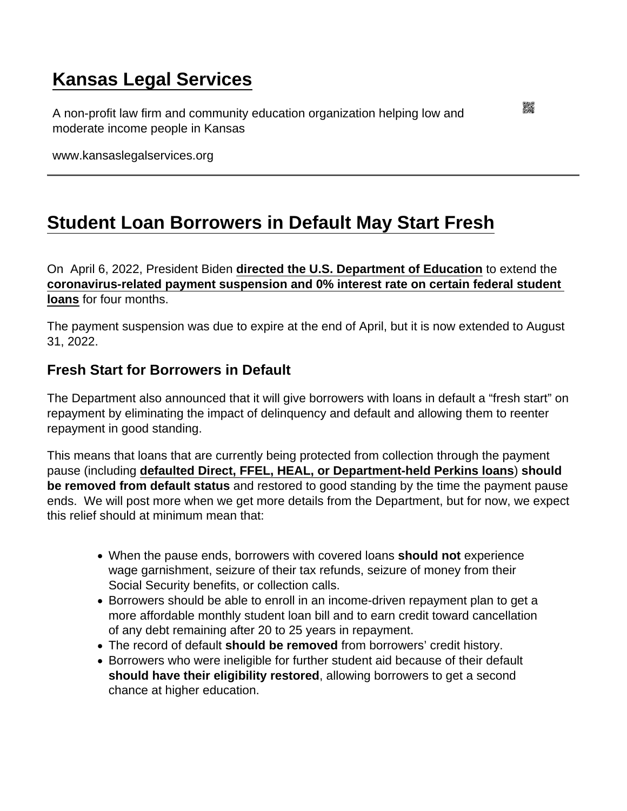# [Kansas Legal Services](https://www.kansaslegalservices.org/)

A non-profit law firm and community education organization helping low and moderate income people in Kansas

www.kansaslegalservices.org

## [Student Loan Borrowers in Default May Start Fresh](https://www.kansaslegalservices.org/node/2514/student-loan-borrowers-default-may-start-fresh)

On April 6, 2022, President Biden [directed the U.S. Department of Education](https://www.whitehouse.gov/briefing-room/statements-releases/2022/04/06/statement-by-president-biden-extending-the-pause-on-student-loan-repayment-through-august-31st-2022/) to extend the [coronavirus-related payment suspension and 0% interest rate on certain federal student](https://www.studentloanborrowerassistance.org/updated-december-2020-the-presidential-memorandum-to-extend-the-student-loan-payment-suspension-what-it-does-and-how-it-falls-short/)  [loans](https://www.studentloanborrowerassistance.org/updated-december-2020-the-presidential-memorandum-to-extend-the-student-loan-payment-suspension-what-it-does-and-how-it-falls-short/) for four months.

The payment suspension was due to expire at the end of April, but it is now extended to August 31, 2022.

#### Fresh Start for Borrowers in Default

The Department also announced that it will give borrowers with loans in default a "fresh start" on repayment by eliminating the impact of delinquency and default and allowing them to reenter repayment in good standing.

This means that loans that are currently being protected from collection through the payment pause (including [defaulted Direct, FFEL, HEAL, or Department-held Perkins loans](https://studentaid.gov/announcements-events/covid-19/payment-pause-zero-interest) ) should be removed from default status and restored to good standing by the time the payment pause ends. We will post more when we get more details from the Department, but for now, we expect this relief should at minimum mean that:

- When the pause ends, borrowers with covered loans should not experience wage garnishment, seizure of their tax refunds, seizure of money from their Social Security benefits, or collection calls.
- Borrowers should be able to enroll in an income-driven repayment plan to get a more affordable monthly student loan bill and to earn credit toward cancellation of any debt remaining after 20 to 25 years in repayment.
- The record of default should be removed from borrowers' credit history.
- Borrowers who were ineligible for further student aid because of their default should have their eligibility restored , allowing borrowers to get a second chance at higher education.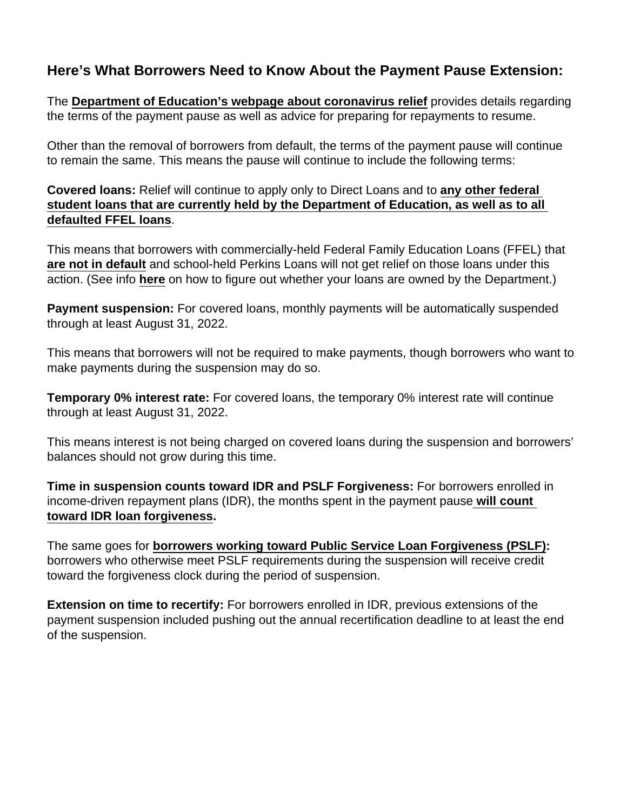### Here's What Borrowers Need to Know About the Payment Pause Extension:

The [Department of Education's webpage about coronavirus relief](https://studentaid.gov/announcements-events/covid-19) provides details regarding the terms of the payment pause as well as advice for preparing for repayments to resume.

Other than the removal of borrowers from default, the terms of the payment pause will continue to remain the same. This means the pause will continue to include the following terms:

Covered loans: Relief will continue to apply only to Direct Loans and to [any other federal](https://studentaid.gov/announcements-events/covid-19/payment-pause-zero-interest)  [student loans that are currently held by the Department of Education, as well as to all](https://studentaid.gov/announcements-events/covid-19/payment-pause-zero-interest)  [defaulted FFEL loans](https://studentaid.gov/announcements-events/covid-19/payment-pause-zero-interest) .

This means that borrowers with commercially-held Federal Family Education Loans (FFEL) that [are not in default](https://www.ed.gov/news/press-releases/department-education-announces-expansion-covid-19-emergency-flexibilities-additional-federal-student-loans-default) and school-held Perkins Loans will not get relief on those loans under this action. (See info [here](https://studentaid.gov/announcements-events/coronavirus) on how to figure out whether your loans are owned by the Department.)

Payment suspension: For covered loans, monthly payments will be automatically suspended through at least August 31, 2022.

This means that borrowers will not be required to make payments, though borrowers who want to make payments during the suspension may do so.

Temporary 0% interest rate: For covered loans, the temporary 0% interest rate will continue through at least August 31, 2022.

This means interest is not being charged on covered loans during the suspension and borrowers' balances should not grow during this time.

Time in suspension counts toward IDR and PSLF Forgiveness: For borrowers enrolled in income-driven repayment plans (IDR), the months spent in the payment pause [will count](https://studentaid.gov/announcements-events/covid-19/income-driven-repayment)  [toward IDR loan forgiveness](https://studentaid.gov/announcements-events/covid-19/income-driven-repayment) .

The same goes for [borrowers working toward Public Service Loan Forgiveness \(PSLF\)](https://studentaid.gov/announcements-events/covid-19/public-service-loan-forgiveness) : borrowers who otherwise meet PSLF requirements during the suspension will receive credit toward the forgiveness clock during the period of suspension.

Extension on time to recertify: For borrowers enrolled in IDR, previous extensions of the payment suspension included pushing out the annual recertification deadline to at least the end of the suspension.